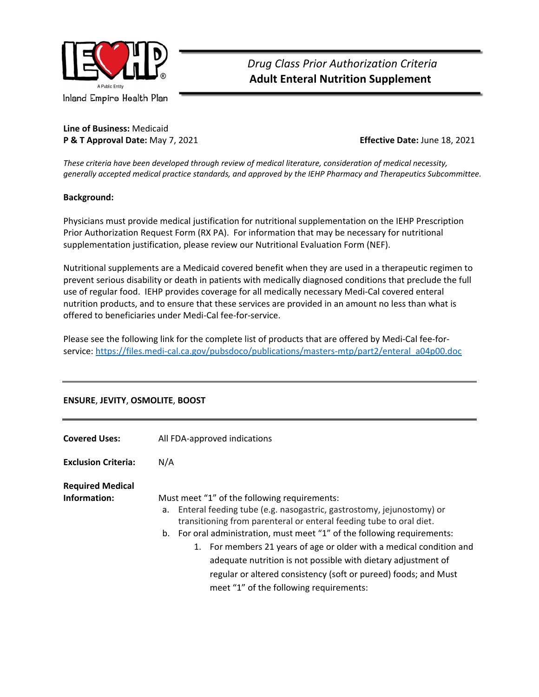

 *Drug Class Prior Authorization Criteria*   **Adult Enteral Nutrition Supplement** 

**Line of Business:** Medicaid **P & T Approval Date:** May 7, 2021 **Effective Date:** June 18, 2021

*These criteria have been developed through review of medical literature, consideration of medical necessity, generally accepted medical practice standards, and approved by the IEHP Pharmacy and Therapeutics Subcommittee.* 

#### **Background:**

Physicians must provide medical justification for nutritional supplementation on the IEHP Prescription Prior Authorization Request Form (RX PA). For information that may be necessary for nutritional supplementation justification, please review our Nutritional Evaluation Form (NEF).

Nutritional supplements are a Medicaid covered benefit when they are used in a therapeutic regimen to prevent serious disability or death in patients with medically diagnosed conditions that preclude the full use of regular food. IEHP provides coverage for all medically necessary Medi‐Cal covered enteral nutrition products, and to ensure that these services are provided in an amount no less than what is offered to beneficiaries under Medi‐Cal fee‐for‐service.

Please see the following link for the complete list of products that are offered by Medi‐Cal fee‐for‐ service: https://files.medi-cal.ca.gov/pubsdoco/publications/masters-mtp/part2/enteral\_a04p00.doc

| <b>Covered Uses:</b>                    | All FDA-approved indications                                                                                                                                                                                                                                                                                                                                                                                                                                                                                                         |  |
|-----------------------------------------|--------------------------------------------------------------------------------------------------------------------------------------------------------------------------------------------------------------------------------------------------------------------------------------------------------------------------------------------------------------------------------------------------------------------------------------------------------------------------------------------------------------------------------------|--|
| <b>Exclusion Criteria:</b>              | N/A                                                                                                                                                                                                                                                                                                                                                                                                                                                                                                                                  |  |
| <b>Required Medical</b><br>Information: | Must meet "1" of the following requirements:<br>Enteral feeding tube (e.g. nasogastric, gastrostomy, jejunostomy) or<br>а.<br>transitioning from parenteral or enteral feeding tube to oral diet.<br>b. For oral administration, must meet "1" of the following requirements:<br>1. For members 21 years of age or older with a medical condition and<br>adequate nutrition is not possible with dietary adjustment of<br>regular or altered consistency (soft or pureed) foods; and Must<br>meet "1" of the following requirements: |  |

## **ENSURE**, **JEVITY**, **OSMOLITE**, **BOOST**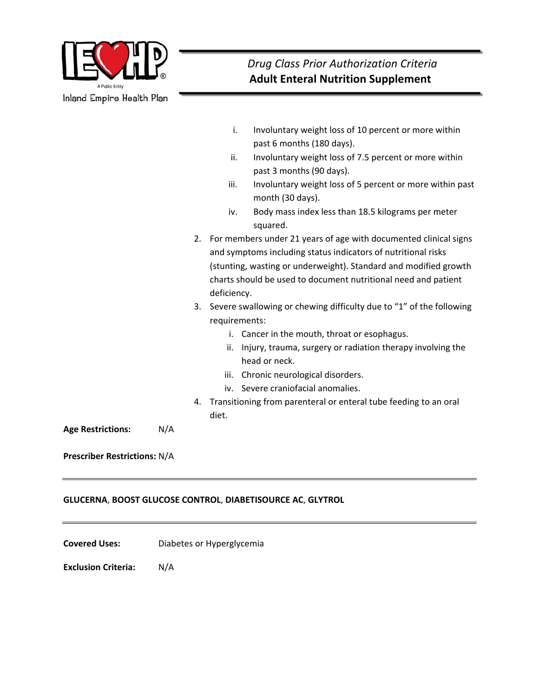

|                                     |     | i.<br>Involuntary weight loss of 10 percent or more within<br>past 6 months (180 days).<br>ii.<br>Involuntary weight loss of 7.5 percent or more within<br>past 3 months (90 days).<br>Involuntary weight loss of 5 percent or more within past<br>iii.                                                  |
|-------------------------------------|-----|----------------------------------------------------------------------------------------------------------------------------------------------------------------------------------------------------------------------------------------------------------------------------------------------------------|
|                                     |     | month (30 days).<br>Body mass index less than 18.5 kilograms per meter<br>iv.<br>squared.                                                                                                                                                                                                                |
|                                     | 2.  | For members under 21 years of age with documented clinical signs<br>and symptoms including status indicators of nutritional risks<br>(stunting, wasting or underweight). Standard and modified growth<br>charts should be used to document nutritional need and patient<br>deficiency.                   |
|                                     | 3.  | Severe swallowing or chewing difficulty due to "1" of the following<br>requirements:<br>i. Cancer in the mouth, throat or esophagus.<br>Injury, trauma, surgery or radiation therapy involving the<br>ii.<br>head or neck.<br>iii. Chronic neurological disorders.<br>iv. Severe craniofacial anomalies. |
|                                     | 4.  | Transitioning from parenteral or enteral tube feeding to an oral<br>diet.                                                                                                                                                                                                                                |
| <b>Age Restrictions:</b>            | N/A |                                                                                                                                                                                                                                                                                                          |
| <b>Prescriber Restrictions: N/A</b> |     |                                                                                                                                                                                                                                                                                                          |

## **GLUCERNA**, **BOOST GLUCOSE CONTROL**, **DIABETISOURCE AC**, **GLYTROL**

**Covered Uses:**  Diabetes or Hyperglycemia

**Exclusion Criteria:**  N/A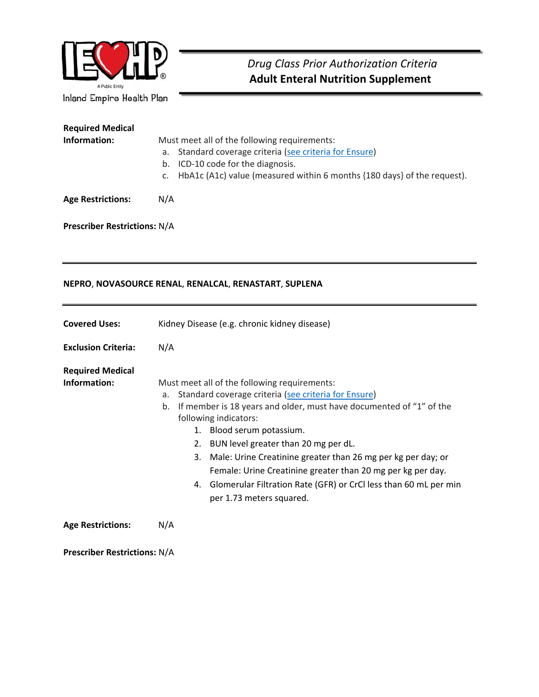

| <b>Required Medical</b>  |                                                                            |  |  |
|--------------------------|----------------------------------------------------------------------------|--|--|
| Information:             | Must meet all of the following requirements:                               |  |  |
|                          | Standard coverage criteria (see criteria for Ensure)<br>a.                 |  |  |
|                          | b. ICD-10 code for the diagnosis.                                          |  |  |
|                          | c. HbA1c (A1c) value (measured within 6 months {180 days} of the request). |  |  |
| <b>Age Restrictions:</b> | N/A                                                                        |  |  |

**Prescriber Restrictions:** N/A

## **NEPRO**, **NOVASOURCE RENAL**, **RENALCAL**, **RENASTART**, **SUPLENA**

| <b>Covered Uses:</b>                    | Kidney Disease (e.g. chronic kidney disease)                                                                                                                                                                                                                                                                                                                                                                                                                                                                                        |
|-----------------------------------------|-------------------------------------------------------------------------------------------------------------------------------------------------------------------------------------------------------------------------------------------------------------------------------------------------------------------------------------------------------------------------------------------------------------------------------------------------------------------------------------------------------------------------------------|
| <b>Exclusion Criteria:</b>              | N/A                                                                                                                                                                                                                                                                                                                                                                                                                                                                                                                                 |
| <b>Required Medical</b><br>Information: | Must meet all of the following requirements:<br>Standard coverage criteria (see criteria for Ensure)<br>a.<br>If member is 18 years and older, must have documented of "1" of the<br>b.<br>following indicators:<br>1. Blood serum potassium.<br>BUN level greater than 20 mg per dL.<br>2.<br>Male: Urine Creatinine greater than 26 mg per kg per day; or<br>3.<br>Female: Urine Creatinine greater than 20 mg per kg per day.<br>4. Glomerular Filtration Rate (GFR) or CrCl less than 60 mL per min<br>per 1.73 meters squared. |
| <b>Age Restrictions:</b>                | N/A                                                                                                                                                                                                                                                                                                                                                                                                                                                                                                                                 |

**Prescriber Restrictions:** N/A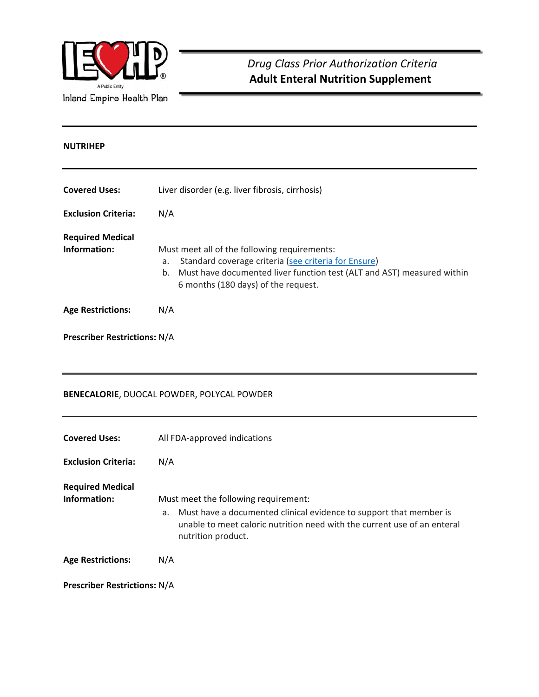

# **NUTRIHEP Covered Uses:**  Liver disorder (e.g. liver fibrosis, cirrhosis) **Exclusion Criteria:**  N/A **Required Medical Information:** Must meet all of the following requirements: a. Standard coverage criteria (see criteria for Ensure) b. Must have documented liver function test (ALT and AST) measured within 6 months (180 days) of the request. **Age Restrictions:** N/A

# **Prescriber Restrictions:** N/A

## **BENECALORIE**, DUOCAL POWDER, POLYCAL POWDER

| <b>Covered Uses:</b>                    | All FDA-approved indications                                                                                                                                                                                       |
|-----------------------------------------|--------------------------------------------------------------------------------------------------------------------------------------------------------------------------------------------------------------------|
| <b>Exclusion Criteria:</b>              | N/A                                                                                                                                                                                                                |
| <b>Required Medical</b><br>Information: | Must meet the following requirement:<br>Must have a documented clinical evidence to support that member is<br>a.<br>unable to meet caloric nutrition need with the current use of an enteral<br>nutrition product. |
| <b>Age Restrictions:</b>                | N/A                                                                                                                                                                                                                |
| <b>Prescriber Restrictions: N/A</b>     |                                                                                                                                                                                                                    |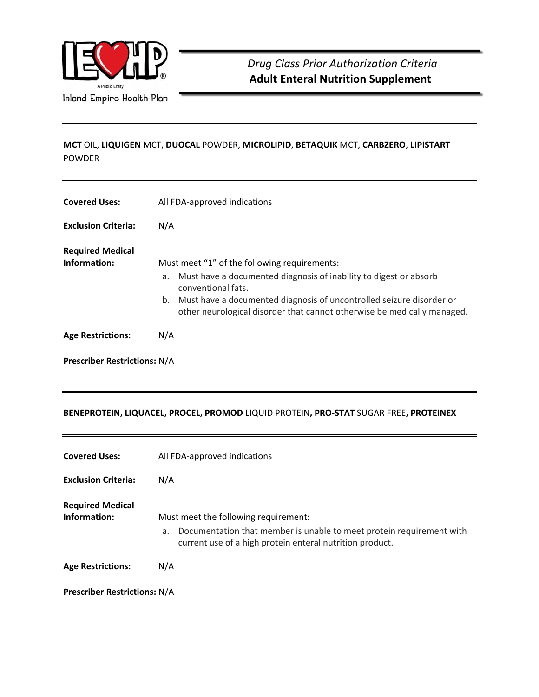

# **MCT** OIL, **LIQUIGEN** MCT, **DUOCAL** POWDER, **MICROLIPID**, **BETAQUIK** MCT, **CARBZERO**, **LIPISTART** POWDER

| <b>Covered Uses:</b>                    | All FDA-approved indications                                                                                                                                                                                                                                                                        |  |
|-----------------------------------------|-----------------------------------------------------------------------------------------------------------------------------------------------------------------------------------------------------------------------------------------------------------------------------------------------------|--|
| <b>Exclusion Criteria:</b>              | N/A                                                                                                                                                                                                                                                                                                 |  |
| <b>Required Medical</b><br>Information: | Must meet "1" of the following requirements:<br>Must have a documented diagnosis of inability to digest or absorb<br>a.<br>conventional fats.<br>b. Must have a documented diagnosis of uncontrolled seizure disorder or<br>other neurological disorder that cannot otherwise be medically managed. |  |
| <b>Age Restrictions:</b>                | N/A                                                                                                                                                                                                                                                                                                 |  |
| <b>Prescriber Restrictions: N/A</b>     |                                                                                                                                                                                                                                                                                                     |  |

# **BENEPROTEIN, LIQUACEL, PROCEL, PROMOD** LIQUID PROTEIN**, PRO‐STAT** SUGAR FREE**, PROTEINEX**

| <b>Covered Uses:</b>                    | All FDA-approved indications                                                                                                                                                   |
|-----------------------------------------|--------------------------------------------------------------------------------------------------------------------------------------------------------------------------------|
| <b>Exclusion Criteria:</b>              | N/A                                                                                                                                                                            |
| <b>Required Medical</b><br>Information: | Must meet the following requirement:<br>Documentation that member is unable to meet protein requirement with<br>а.<br>current use of a high protein enteral nutrition product. |
| <b>Age Restrictions:</b>                | N/A                                                                                                                                                                            |
| <b>Prescriber Restrictions: N/A</b>     |                                                                                                                                                                                |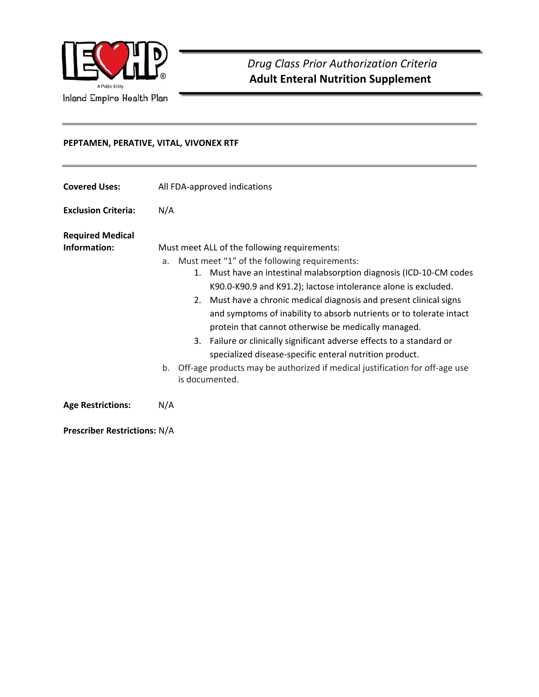

**D)** Drug Class Prior Authorization Criteria  **Adult Enteral Nutrition Supplement** 

## **PEPTAMEN, PERATIVE, VITAL, VIVONEX RTF**

| <b>Covered Uses:</b>                    | All FDA-approved indications                                                                                                                                                                                                                                                                                                                                                                                                                                                                                                                                                                                                                                                                         |
|-----------------------------------------|------------------------------------------------------------------------------------------------------------------------------------------------------------------------------------------------------------------------------------------------------------------------------------------------------------------------------------------------------------------------------------------------------------------------------------------------------------------------------------------------------------------------------------------------------------------------------------------------------------------------------------------------------------------------------------------------------|
| <b>Exclusion Criteria:</b>              | N/A                                                                                                                                                                                                                                                                                                                                                                                                                                                                                                                                                                                                                                                                                                  |
| <b>Required Medical</b><br>Information: | Must meet ALL of the following requirements:<br>Must meet "1" of the following requirements:<br>a.<br>Must have an intestinal malabsorption diagnosis (ICD-10-CM codes<br>1.<br>K90.0-K90.9 and K91.2); lactose intolerance alone is excluded.<br>Must have a chronic medical diagnosis and present clinical signs<br>2.<br>and symptoms of inability to absorb nutrients or to tolerate intact<br>protein that cannot otherwise be medically managed.<br>Failure or clinically significant adverse effects to a standard or<br>3.<br>specialized disease-specific enteral nutrition product.<br>Off-age products may be authorized if medical justification for off-age use<br>b.<br>is documented. |
| <b>Age Restrictions:</b>                | N/A                                                                                                                                                                                                                                                                                                                                                                                                                                                                                                                                                                                                                                                                                                  |

**Prescriber Restrictions:** N/A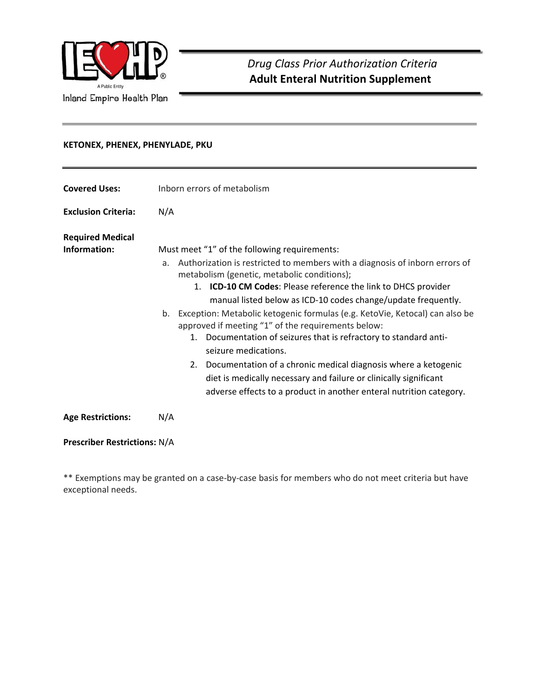

 *Drug Class Prior Authorization Criteria*   **Adult Enteral Nutrition Supplement** 

## **KETONEX, PHENEX, PHENYLADE, PKU**

| <b>Covered Uses:</b>                    | Inborn errors of metabolism                                                                                                                                                                                                                                                                                                                                                                                                                                                                                                                                                                                                                                                                                                                                                          |  |
|-----------------------------------------|--------------------------------------------------------------------------------------------------------------------------------------------------------------------------------------------------------------------------------------------------------------------------------------------------------------------------------------------------------------------------------------------------------------------------------------------------------------------------------------------------------------------------------------------------------------------------------------------------------------------------------------------------------------------------------------------------------------------------------------------------------------------------------------|--|
| <b>Exclusion Criteria:</b>              | N/A                                                                                                                                                                                                                                                                                                                                                                                                                                                                                                                                                                                                                                                                                                                                                                                  |  |
| <b>Required Medical</b><br>Information: | Must meet "1" of the following requirements:<br>Authorization is restricted to members with a diagnosis of inborn errors of<br>$a_{-}$<br>metabolism (genetic, metabolic conditions);<br>ICD-10 CM Codes: Please reference the link to DHCS provider<br>1.<br>manual listed below as ICD-10 codes change/update frequently.<br>Exception: Metabolic ketogenic formulas (e.g. KetoVie, Ketocal) can also be<br>b.<br>approved if meeting "1" of the requirements below:<br>1. Documentation of seizures that is refractory to standard anti-<br>seizure medications.<br>2. Documentation of a chronic medical diagnosis where a ketogenic<br>diet is medically necessary and failure or clinically significant<br>adverse effects to a product in another enteral nutrition category. |  |
| <b>Age Restrictions:</b>                | N/A                                                                                                                                                                                                                                                                                                                                                                                                                                                                                                                                                                                                                                                                                                                                                                                  |  |

# **Prescriber Restrictions:** N/A

\*\* Exemptions may be granted on a case‐by‐case basis for members who do not meet criteria but have exceptional needs.